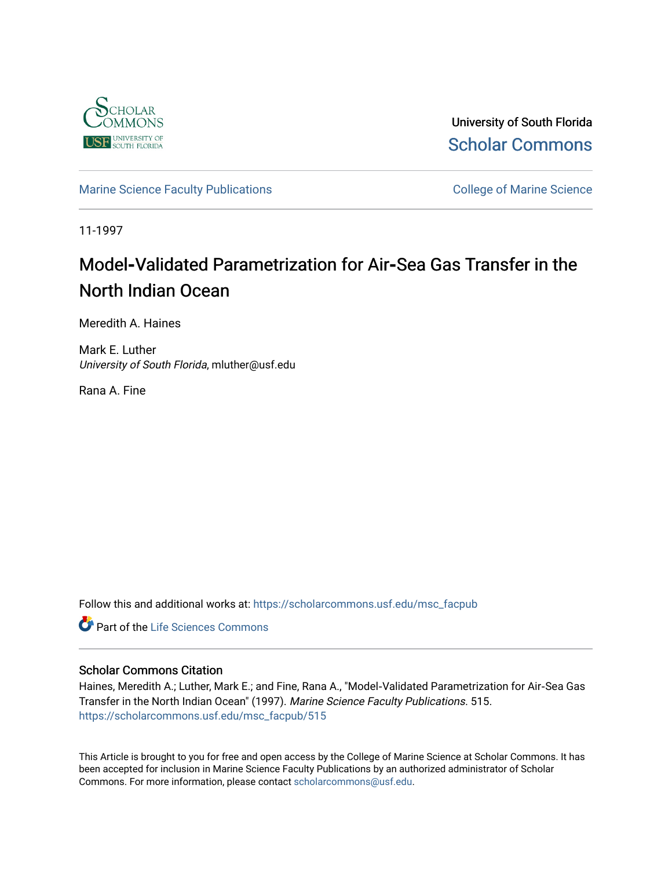

University of South Florida [Scholar Commons](https://scholarcommons.usf.edu/) 

[Marine Science Faculty Publications](https://scholarcommons.usf.edu/msc_facpub) **College of Marine Science** College of Marine Science

11-1997

# **Model-Validated Parametrization for Air-Sea Gas Transfer in the** North Indian Ocean

Meredith A. Haines

Mark E. Luther University of South Florida, mluther@usf.edu

Rana A. Fine

Follow this and additional works at: [https://scholarcommons.usf.edu/msc\\_facpub](https://scholarcommons.usf.edu/msc_facpub?utm_source=scholarcommons.usf.edu%2Fmsc_facpub%2F515&utm_medium=PDF&utm_campaign=PDFCoverPages)

Part of the [Life Sciences Commons](http://network.bepress.com/hgg/discipline/1016?utm_source=scholarcommons.usf.edu%2Fmsc_facpub%2F515&utm_medium=PDF&utm_campaign=PDFCoverPages) 

#### Scholar Commons Citation

Haines, Meredith A.; Luther, Mark E.; and Fine, Rana A., "Model‐Validated Parametrization for Air‐Sea Gas Transfer in the North Indian Ocean" (1997). Marine Science Faculty Publications. 515. [https://scholarcommons.usf.edu/msc\\_facpub/515](https://scholarcommons.usf.edu/msc_facpub/515?utm_source=scholarcommons.usf.edu%2Fmsc_facpub%2F515&utm_medium=PDF&utm_campaign=PDFCoverPages)

This Article is brought to you for free and open access by the College of Marine Science at Scholar Commons. It has been accepted for inclusion in Marine Science Faculty Publications by an authorized administrator of Scholar Commons. For more information, please contact [scholarcommons@usf.edu.](mailto:scholarcommons@usf.edu)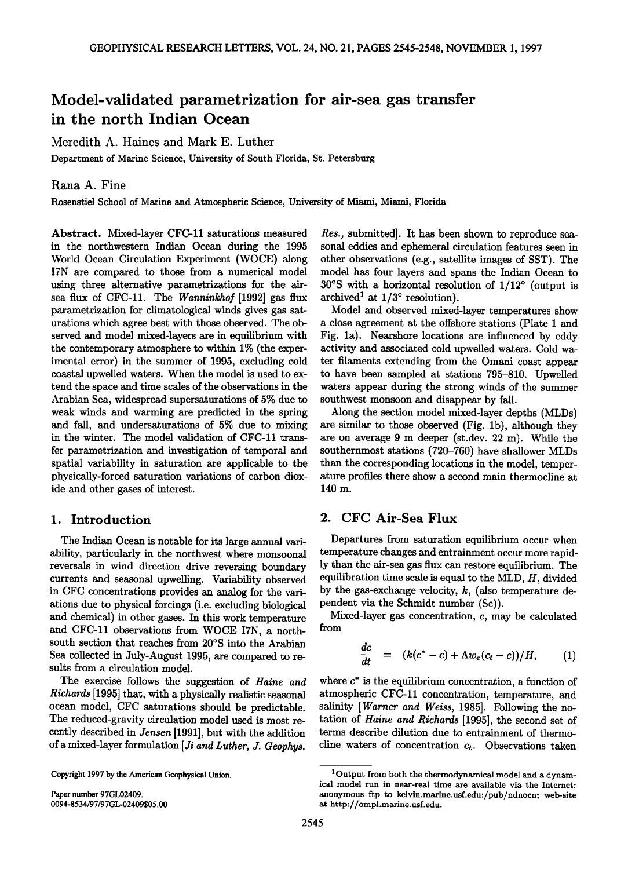## **Model-validated parametrization for air-sea gas transfer in the north Indian Ocean**

#### **Meredith A. Haines and Mark E. Luther**

**Department of Marine Science, University of South Florida, St. Petersburg** 

#### **Rana A. Fine**

**Rosenstiel School of Marine and Atmospheric Science, University of Miami, Miami, Florida** 

**Abstract. Mixed-layer CFC-11 saturations measured in the northwestern Indian Ocean during the 1995 World Ocean Circulation Experiment (WOCE) along I7N are compared to those from a numerical model using three alternative parametrizations for the airsea flux of CFC-11. The Wanninkhof [1992] gas flux parametrization for climatological winds gives gas saturations which agree best with those observed. The observed and model mixed-layers are in equilibrium with the contemporary atmosphere to within 1% (the experimental error) in the summer of 1995, excluding cold coastal upwelled waters. When the model is used to extend the space and time scales of the observations in the Arabian Sea, widespread supersaturations of 5% due to weak winds and warming are predicted in the spring and fall, and undersaturations of 5% due to mixing in the winter. The model validation of CFC-11 transfer parametrization and investigation of temporal and spatial variability in saturation are applicable to the physically-forced saturation variations of carbon dioxide and other gases of interest.** 

#### **1. Introduction**

**The Indian Ocean is notable for its large annual variability, particularly in the northwest where monsoonal reversals in wind direction drive reversing boundary currents and seasonal upwelling. Variability observed in CFC concentrations provides an analog for the variations due to physical forcings (i.e. excluding biological and chemical) in other gases. In this work temperature and CFC-11 observations from WOCE I7N, a north**south section that reaches from 20°S into the Arabian **Sea collected in July-August 1995, are compared to results from a circulation model.** 

**The exercise follows the suggestion of Haine and Richards [1995] that, with a physically realistic seasonal ocean model, CFC saturations should be predictable. The reduced-gravity circulation model used is most recently described in Jensen [1991], but with the addition of a mixed-layer formulation [Ji and Luther, J. Geophys.** 

**Copyright 1997 by the American Geophysical Union.** 

**Paper number 97GL02409. 0094-8534/97/97GL-02409505.00**  **Res., submitted]. It has been shown to reproduce seasonal eddies and ephemeral circulation features seen in other observations (e.g., satellite images of SST). The model has four layers and spans the Indian Ocean to 30°S** with a horizontal resolution of  $1/12$ ° (output is archived<sup>1</sup> at  $1/3^{\circ}$  resolution).

**Model and observed mixed-layer temperatures show a close agreement at the offshore stations (Plate I and Fig. la). Nearshore locations are influenced by eddy activity and associated cold upwelled waters. Cold water filaments extending from the Omani coast appear to have been sampled at stations 795-810. Upwelled waters appear during the strong winds of the summer southwest monsoon and disappear by fall.** 

**Along the section model mixed-layer depths (MLDs) are similar to those observed (Fig. lb), although they are on average 9 m deeper (st.dev. 22 m). While the southernmost stations (720-760) have shallower MLDs than the corresponding locations in the model, temperature profiles there show a second main thermocline at 140 m.** 

### **2. CFC Air-Sea Flux**

**Departures from saturation equilibrium occur when temperature changes and entrainment occur more rapidly than the air-sea gas flux can restore equilibrium. The equilibration time scale is equal to the MLD, H, divided by the gas-exchange velocity, k, (also temperature dependent via the Schmidt number (Sc)).** 

**Mixed-layer gas concentration, c, may be calculated from** 

$$
\frac{dc}{dt} = (k(c^* - c) + \Lambda w_e (c_t - c))/H, \qquad (1)
$$

where  $c^*$  is the equilibrium concentration, a function of **atmospheric CFC-11 concentration, temperature, and salinity [Warner and Weiss, 1985]. Following the notation of Haine and Richards [1995], the second set of terms describe dilution due to entrainment of thermo**cline waters of concentration  $c_t$ . Observations taken

**<sup>1</sup> Output from both the thermodynamical model and a dynamical model run in near-real time are available via the Internet:**  anonymous ftp to kelvin.marine.usf.edu:/pub/ndnocn; web-site **at http://ompl.marine.usf. edu.**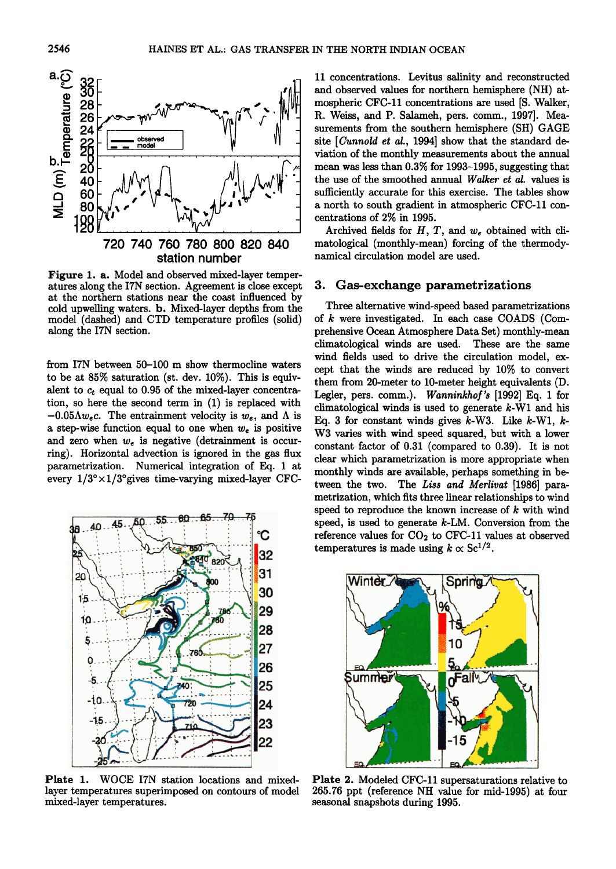

**station number** 

**Figure 1. a. Model and observed mixed-layer temperatures along the I7N section. Agreement is close except at the northern stations near the coast influenced by cold upwelling waters. b. Mixed-layer depths from the model (dashed) and CTD temperature profiles (solid) along the I7N section.** 

**from I7N between 50-100 m show thermocline waters to be at 85% saturation (st. dev. 10%). This is equiv**alent to  $c_t$  equal to 0.95 of the mixed-layer concentra**tion, so here the second term in (1) is replaced with**   $-0.05\Lambda w_e c$ . The entrainment velocity is  $w_e$ , and  $\Lambda$  is a step-wise function equal to one when  $w_e$  is positive and zero when  $w_e$  is negative (detrainment is occur**ring). Horizontal advection is ignored in the gas flux parametrization. Numerical integration of Eq. I at**  every  $1/3^{\circ} \times 1/3^{\circ}$  gives time-varying mixed-layer CFC-



**Plate 1. WOCE I7N station locations and mixedlayer temperatures superimposed on contours of model mixed-layer temperatures.** 

**11 concentrations. Levitus salinity and reconstructed and observed values for northern hemisphere (NH) atmospheric CFC-11 concentrations are used [S. Walker,**  R. Weiss, and P. Salameh, pers. comm., 1997]. Mea**surements from the southern hemisphere (SH) GAGE site [Cunnold et al., 1994] show that the standard deviation of the monthly measurements about the annual mean was less than 0.3% for 1993-1995, suggesting that the use of the smoothed annual Walker et al. values is sufficiently accurate for this exercise. The tables show a north to south gradient in atmospheric CFC-11 concentrations of 2% in 1995.** 

**Archived fields for H, T, and we obtained with climatological (monthly-mean) forcing of the thermodynamical circulation model are used.** 

#### **3. Gas-exchange parametrizations**

**Three alternative wind-speed based parametrizations of k were investigated. In each case COADS (Comprehensive Ocean Atmosphere Data Set) monthly-mean climatological winds are used. These are the same wind fields used to drive the circulation model, except that the winds are reduced by 10% to convert them from 20-meter to 10-meter height equivalents (D. Legler, pers. comm.). Wanninkhof's [1992] Eq. 1 for climatological winds is used to generate k-Wl and his Eq. 3 for constant winds gives k-W3. Like k-Wl, k-W3 varies with wind speed squared, but with a lower constant factor of 0.31 (compared to 0.39). It is not clear which parametrization is more appropriate when monthly winds are available, perhaps something in between the two. The Liss and Merlivat [1986] parametrization, which fits three linear relationships to wind speed to reproduce the known increase of k with wind speed, is used to generate k-LM. Conversion from the**  reference values for CO<sub>2</sub> to CFC-11 values at observed **temperatures is made using**  $k \propto Sc^{1/2}$ **.** 



**Plate 2. Modeled CFC-11 supersaturations relative to 265.76 ppt (reference NH value for mid-1995) at four seasonal snapshots during 1995.**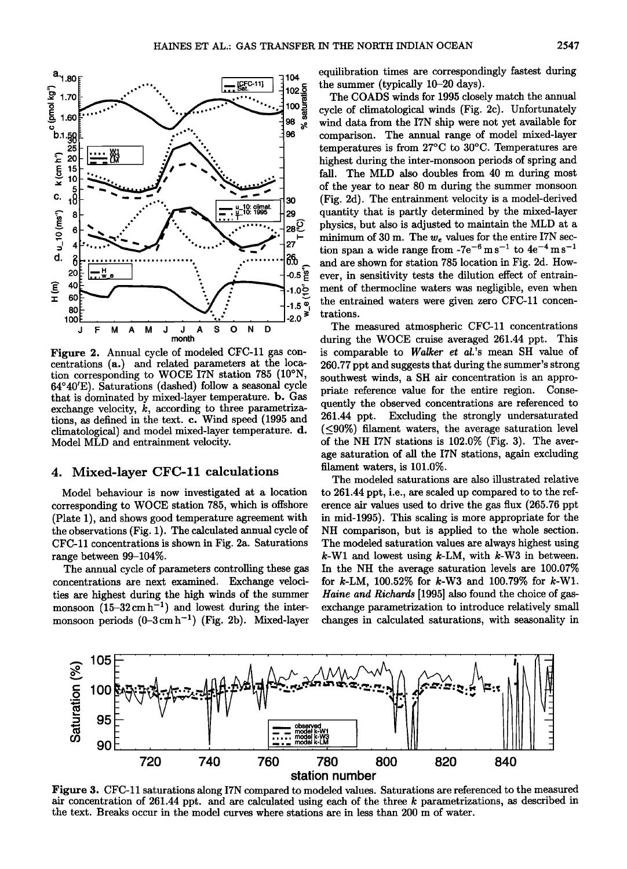

#### Mixed-layer CFC-11 calculations 4.

Model MLD and entrainment velocity.

Model behaviour is now investigated at a location corresponding to WOCE station 785, which is offshore (Plate 1), and shows good temperature agreement with the observations (Fig. 1). The calculated annual cycle of CFC-11 concentrations is shown in Fig. 2a. Saturations range between 99-104%.

The annual cycle of parameters controlling these gas concentrations are next examined. Exchange velocities are highest during the high winds of the summer monsoon  $(15-32 \text{ cm h}^{-1})$  and lowest during the intermonsoon periods  $(0-3 \text{ cm h}^{-1})$  (Fig. 2b). Mixed-layer equilibration times are correspondingly fastest during the summer (typically  $10-20$  days).

The COADS winds for 1995 closely match the annual cycle of climatological winds (Fig. 2c). Unfortunately wind data from the I7N ship were not yet available for comparison. The annual range of model mixed-layer temperatures is from  $27^{\circ}$ C to  $30^{\circ}$ C. Temperatures are highest during the inter-monsoon periods of spring and fall. The MLD also doubles from 40 m during most of the year to near 80 m during the summer monsoon (Fig. 2d). The entrainment velocity is a model-derived quantity that is partly determined by the mixed-layer physics, but also is adjusted to maintain the MLD at a minimum of 30 m. The  $w_e$  values for the entire I7N section span a wide range from  $-7e^{-6}$  m s<sup>-1</sup> to  $4e^{-4}$  m s<sup>-1</sup> and are shown for station 785 location in Fig. 2d. However, in sensitivity tests the dilution effect of entrainment of thermocline waters was negligible, even when the entrained waters were given zero CFC-11 concentrations.

The measured atmospheric CFC-11 concentrations during the WOCE cruise averaged 261.44 ppt. This is comparable to Walker et al.'s mean SH value of 260.77 ppt and suggests that during the summer's strong southwest winds, a SH air concentration is an appropriate reference value for the entire region. Consequently the observed concentrations are referenced to 261.44 ppt. Excluding the strongly undersaturated  $(<,90\%)$  filament waters, the average saturation level of the NH I7N stations is 102.0% (Fig. 3). The average saturation of all the I7N stations, again excluding filament waters, is 101.0%.

The modeled saturations are also illustrated relative to 261.44 ppt, i.e., are scaled up compared to to the reference air values used to drive the gas flux (265.76 ppt) in mid-1995). This scaling is more appropriate for the NH comparison, but is applied to the whole section. The modeled saturation values are always highest using  $k$ -W1 and lowest using  $k$ -LM, with  $k$ -W3 in between. In the NH the average saturation levels are 100.07% for  $k$ -LM, 100.52% for  $k$ -W3 and 100.79% for  $k$ -W1. Haine and Richards [1995] also found the choice of gasexchange parametrization to introduce relatively small changes in calculated saturations, with seasonality in



Figure 3. CFC-11 saturations along I7N compared to modeled values. Saturations are referenced to the measured air concentration of 261.44 ppt. and are calculated using each of the three k parametrizations, as described in the text. Breaks occur in the model curves where stations are in less than 200 m of water.